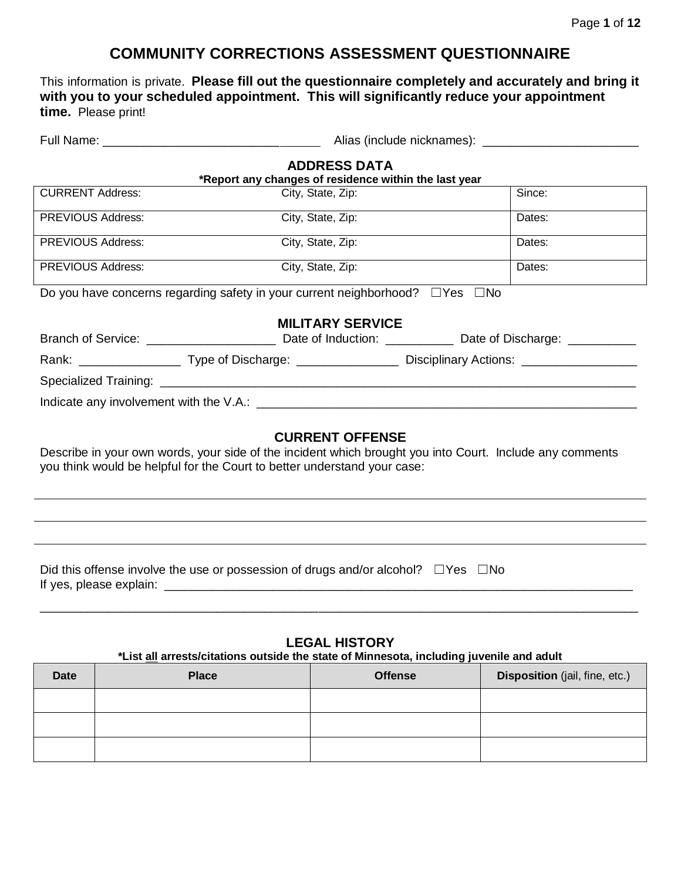# **COMMUNITY CORRECTIONS ASSESSMENT QUESTIONNAIRE**

This information is private. **Please fill out the questionnaire completely and accurately and bring it with you to your scheduled appointment. This will significantly reduce your appointment time.** Please print!

|                                                                                                | <b>ADDRESS DATA</b><br>*Report any changes of residence within the last year |        |  |  |
|------------------------------------------------------------------------------------------------|------------------------------------------------------------------------------|--------|--|--|
| <b>CURRENT Address:</b>                                                                        | City, State, Zip:                                                            | Since: |  |  |
| <b>PREVIOUS Address:</b>                                                                       | City, State, Zip:                                                            | Dates: |  |  |
| <b>PREVIOUS Address:</b>                                                                       | City, State, Zip:                                                            | Dates: |  |  |
| <b>PREVIOUS Address:</b>                                                                       | City, State, Zip:                                                            | Dates: |  |  |
| Do you have concerns regarding safety in your current neighborhood? $\square$ Yes $\square$ No |                                                                              |        |  |  |
|                                                                                                | <b>MILITARY SERVICE</b>                                                      |        |  |  |
|                                                                                                |                                                                              |        |  |  |
|                                                                                                |                                                                              |        |  |  |
|                                                                                                |                                                                              |        |  |  |
|                                                                                                |                                                                              |        |  |  |
|                                                                                                | <b>CURRENT OFFENSE</b>                                                       |        |  |  |

Describe in your own words, your side of the incident which brought you into Court. Include any comments you think would be helpful for the Court to better understand your case:

Did this offense involve the use or possession of drugs and/or alcohol?  $□Yes \square No$ If yes, please explain: \_\_\_\_\_\_\_\_\_\_\_\_\_\_\_\_\_\_\_\_\_\_\_\_\_\_\_\_\_\_\_\_\_\_\_\_\_\_\_\_\_\_\_\_\_\_\_\_\_\_\_\_\_\_\_\_\_\_\_\_\_\_\_\_\_\_\_\_\_

#### **LEGAL HISTORY**

\_\_\_\_\_\_\_\_\_\_\_\_\_\_\_\_\_\_\_\_\_\_\_\_\_\_\_\_\_\_\_\_\_\_\_\_\_\_\_\_\_\_\_\_\_\_\_\_\_\_\_\_\_\_\_\_\_\_\_\_\_\_\_\_\_\_\_\_\_\_\_\_\_\_\_\_\_\_\_\_\_\_\_\_\_\_\_\_

#### **\*List all arrests/citations outside the state of Minnesota, including juvenile and adult**

| <b>Date</b> | <b>Place</b> | <b>Offense</b> | Disposition (jail, fine, etc.) |
|-------------|--------------|----------------|--------------------------------|
|             |              |                |                                |
|             |              |                |                                |
|             |              |                |                                |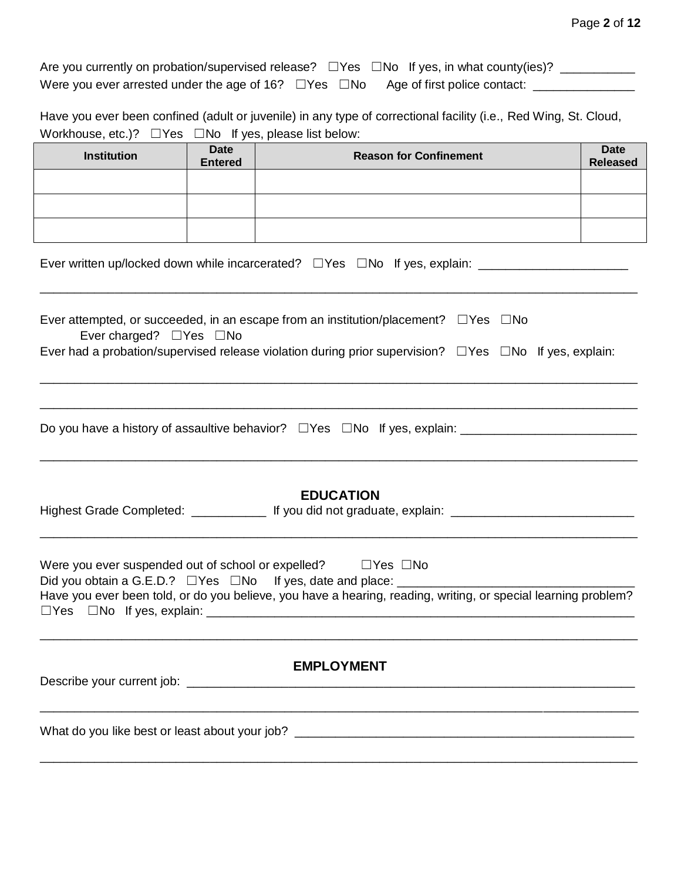| Are you currently on probation/supervised release? $\square$ Yes $\square$ No If yes, in what county(ies)? |  |  |
|------------------------------------------------------------------------------------------------------------|--|--|
| Were you ever arrested under the age of 16? $\square$ Yes $\square$ No Age of first police contact:        |  |  |

Have you ever been confined (adult or juvenile) in any type of correctional facility (i.e., Red Wing, St. Cloud, Workhouse, etc.)? □ Yes □ No If yes, please list below:

| <b>Institution</b>                                                                                                                                                                                                                                                            | <b>Date</b><br><b>Entered</b> | <b>Reason for Confinement</b>                                                                                                                                                                                             | <b>Date</b><br><b>Released</b> |  |
|-------------------------------------------------------------------------------------------------------------------------------------------------------------------------------------------------------------------------------------------------------------------------------|-------------------------------|---------------------------------------------------------------------------------------------------------------------------------------------------------------------------------------------------------------------------|--------------------------------|--|
|                                                                                                                                                                                                                                                                               |                               |                                                                                                                                                                                                                           |                                |  |
|                                                                                                                                                                                                                                                                               |                               |                                                                                                                                                                                                                           |                                |  |
|                                                                                                                                                                                                                                                                               |                               |                                                                                                                                                                                                                           |                                |  |
|                                                                                                                                                                                                                                                                               |                               |                                                                                                                                                                                                                           |                                |  |
| Ever charged? $\Box$ Yes $\Box$ No                                                                                                                                                                                                                                            |                               | Ever attempted, or succeeded, in an escape from an institution/placement? $\square$ Yes $\square$ No<br>Ever had a probation/supervised release violation during prior supervision? $\Box$ Yes $\Box$ No If yes, explain: |                                |  |
|                                                                                                                                                                                                                                                                               |                               |                                                                                                                                                                                                                           |                                |  |
|                                                                                                                                                                                                                                                                               |                               | <b>EDUCATION</b><br>Highest Grade Completed: _______________ If you did not graduate, explain: ___________________________________                                                                                        |                                |  |
| Were you ever suspended out of school or expelled? $\Box$ Yes $\Box$ No<br>Did you obtain a G.E.D.? □ Yes □ No If yes, date and place: ____________________<br>Have you ever been told, or do you believe, you have a hearing, reading, writing, or special learning problem? |                               |                                                                                                                                                                                                                           |                                |  |
| <b>EMPLOYMENT</b>                                                                                                                                                                                                                                                             |                               |                                                                                                                                                                                                                           |                                |  |
|                                                                                                                                                                                                                                                                               |                               |                                                                                                                                                                                                                           |                                |  |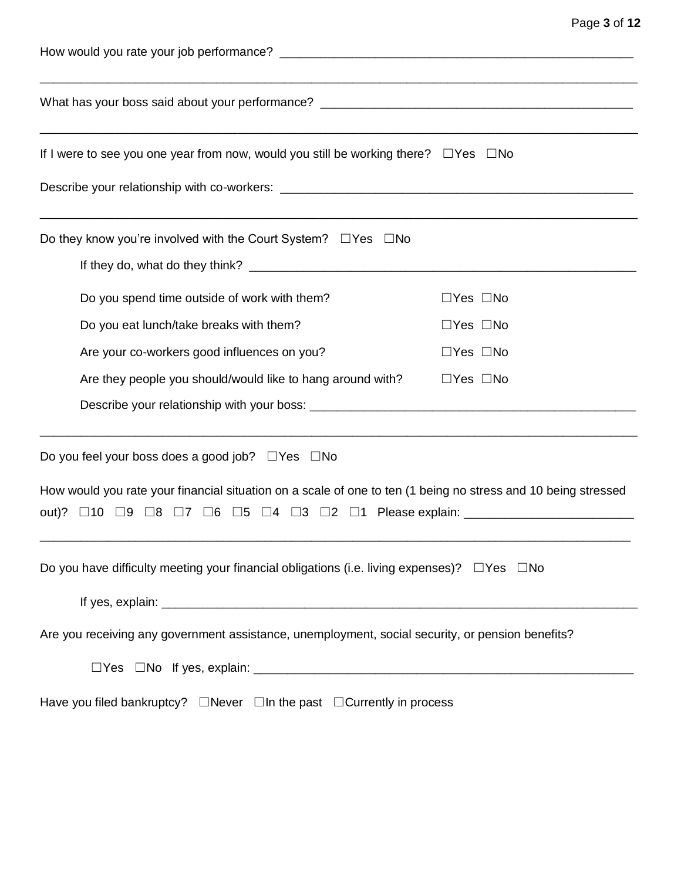| If I were to see you one year from now, would you still be working there? $\Box$ Yes $\Box$ No                |                      |  |  |
|---------------------------------------------------------------------------------------------------------------|----------------------|--|--|
|                                                                                                               |                      |  |  |
| Do they know you're involved with the Court System? $\Box$ Yes $\Box$ No                                      |                      |  |  |
|                                                                                                               |                      |  |  |
| Do you spend time outside of work with them?                                                                  | $\Box$ Yes $\Box$ No |  |  |
| Do you eat lunch/take breaks with them?                                                                       | $\Box$ Yes $\Box$ No |  |  |
| Are your co-workers good influences on you?                                                                   | $\Box$ Yes $\Box$ No |  |  |
| Are they people you should/would like to hang around with?                                                    | $\Box$ Yes $\Box$ No |  |  |
|                                                                                                               |                      |  |  |
| Do you feel your boss does a good job? $\Box$ Yes $\Box$ No                                                   |                      |  |  |
| How would you rate your financial situation on a scale of one to ten (1 being no stress and 10 being stressed |                      |  |  |
| out)? □10 □9 □8 □7 □6 □5 □4 □3 □2 □1 Please explain: ___________________________                              |                      |  |  |
| Do you have difficulty meeting your financial obligations (i.e. living expenses)? $\Box$ Yes $\Box$ No        |                      |  |  |
|                                                                                                               |                      |  |  |
| Are you receiving any government assistance, unemployment, social security, or pension benefits?              |                      |  |  |
|                                                                                                               |                      |  |  |
| Have you filed bankruptcy? $\Box$ Never $\Box$ In the past $\Box$ Currently in process                        |                      |  |  |

Page **3** of **12**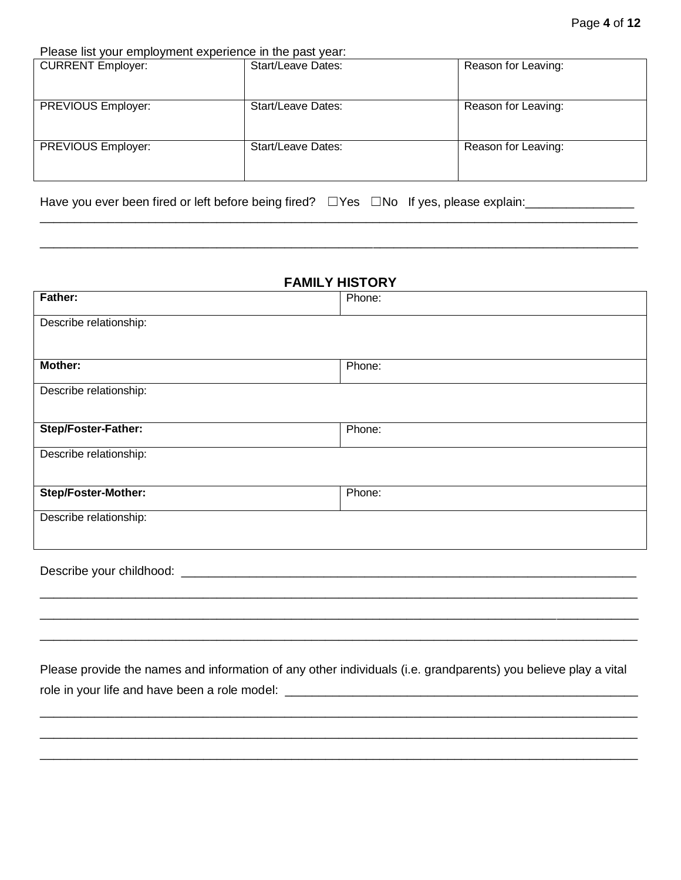Please list your employment experience in the past year:

| <b>CURRENT Employer:</b> | <b>Start/Leave Dates:</b> | Reason for Leaving: |
|--------------------------|---------------------------|---------------------|
| PREVIOUS Employer:       | <b>Start/Leave Dates:</b> | Reason for Leaving: |
| PREVIOUS Employer:       | <b>Start/Leave Dates:</b> | Reason for Leaving: |

\_\_\_\_\_\_\_\_\_\_\_\_\_\_\_\_\_\_\_\_\_\_\_\_\_\_\_\_\_\_\_\_\_\_\_\_\_\_\_\_\_\_\_\_\_\_\_\_\_\_\_\_\_\_\_\_\_\_\_\_\_\_\_\_\_\_\_\_\_\_\_\_\_\_\_\_\_\_\_\_\_\_\_\_\_\_\_\_

\_\_\_\_\_\_\_\_\_\_\_\_\_\_\_\_\_\_\_\_\_\_\_\_\_\_\_\_\_\_\_\_\_\_\_\_\_\_\_\_\_\_\_\_\_\_\_\_\_\_\_\_\_\_\_\_\_\_\_\_\_\_\_\_\_\_\_\_\_\_\_\_\_\_\_\_\_\_\_\_\_\_\_\_\_\_\_\_

Have you ever been fired or left before being fired? □Yes □No If yes, please explain:\_\_\_\_\_\_\_\_\_\_\_\_\_

| <b>FAMILY HISTORY</b>              |        |  |
|------------------------------------|--------|--|
| Father:                            | Phone: |  |
| Describe relationship:             |        |  |
| <b>Mother:</b>                     | Phone: |  |
| Describe relationship:             |        |  |
| Step/Foster-Father:                | Phone: |  |
| Describe relationship:             |        |  |
| <b>Step/Foster-Mother:</b>         | Phone: |  |
| Describe relationship:             |        |  |
| Describe your childhood: _________ |        |  |
|                                    |        |  |

Please provide the names and information of any other individuals (i.e. grandparents) you believe play a vital role in your life and have been a role model: \_\_\_\_\_\_\_\_\_\_\_\_\_\_\_\_\_\_\_\_\_\_\_\_\_\_\_\_\_\_\_\_\_\_

\_\_\_\_\_\_\_\_\_\_\_\_\_\_\_\_\_\_\_\_\_\_\_\_\_\_\_\_\_\_\_\_\_\_\_\_\_\_\_\_\_\_\_\_\_\_\_\_\_\_\_\_\_\_\_\_\_\_\_\_\_\_\_\_\_\_\_\_\_\_\_\_\_\_\_\_\_\_\_\_\_\_\_\_\_\_\_\_ \_\_\_\_\_\_\_\_\_\_\_\_\_\_\_\_\_\_\_\_\_\_\_\_\_\_\_\_\_\_\_\_\_\_\_\_\_\_\_\_\_\_\_\_\_\_\_\_\_\_\_\_\_\_\_\_\_\_\_\_\_\_\_\_\_\_\_\_\_\_\_\_\_\_\_\_\_\_\_\_\_\_\_\_\_\_\_\_ \_\_\_\_\_\_\_\_\_\_\_\_\_\_\_\_\_\_\_\_\_\_\_\_\_\_\_\_\_\_\_\_\_\_\_\_\_\_\_\_\_\_\_\_\_\_\_\_\_\_\_\_\_\_\_\_\_\_\_\_\_\_\_\_\_\_\_\_\_\_\_\_\_\_\_\_\_\_\_\_\_\_\_\_\_\_\_\_

\_\_\_\_\_\_\_\_\_\_\_\_\_\_\_\_\_\_\_\_\_\_\_\_\_\_\_\_\_\_\_\_\_\_\_\_\_\_\_\_\_\_\_\_\_\_\_\_\_\_\_\_\_\_\_\_\_\_\_\_\_\_\_\_\_\_\_\_\_\_\_\_\_\_\_\_\_\_\_\_\_\_\_\_\_\_\_\_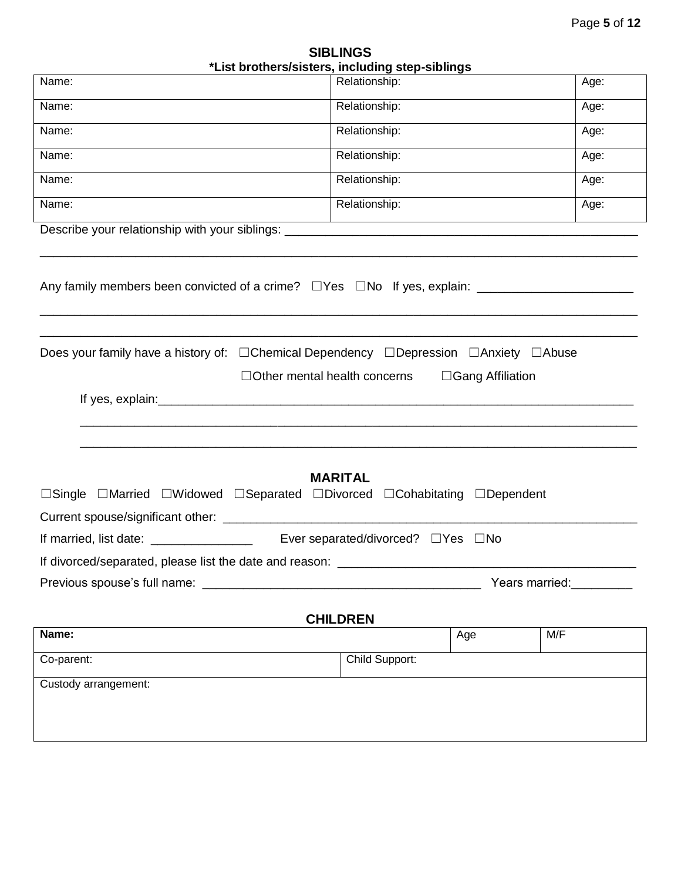| <b>SIBLINGS</b>                                 |  |  |  |
|-------------------------------------------------|--|--|--|
| *List brothers/sisters, including step-siblings |  |  |  |

|                                                                                            | List prothers/sisters, including step-siplings |                         |
|--------------------------------------------------------------------------------------------|------------------------------------------------|-------------------------|
| Name:                                                                                      | Relationship:                                  | Age:                    |
| Name:                                                                                      | Relationship:                                  | Age:                    |
| Name:                                                                                      | Relationship:                                  | Age:                    |
| Name:                                                                                      | Relationship:                                  | Age:                    |
| Name:                                                                                      | Relationship:                                  | Age:                    |
| Name:                                                                                      | Relationship:                                  | Age:                    |
|                                                                                            |                                                |                         |
| Any family members been convicted of a crime? $\Box$ Yes $\Box$ No If yes, explain: $\Box$ |                                                |                         |
| Does your family have a history of: □ Chemical Dependency □ Depression □ Anxiety □ Abuse   | $\Box$ Other mental health concerns            | $\Box$ Gang Affiliation |
|                                                                                            |                                                |                         |
|                                                                                            |                                                |                         |
|                                                                                            |                                                |                         |
|                                                                                            |                                                |                         |
|                                                                                            | <b>MARITAL</b>                                 |                         |
| □Single □Married □Widowed □Separated □Divorced □Cohabitating □Dependent                    |                                                |                         |
|                                                                                            |                                                |                         |
|                                                                                            |                                                |                         |
| If divorced/separated, please list the date and reason:                                    |                                                |                         |
| Previous spouse's full name:                                                               |                                                | Years married:          |
|                                                                                            |                                                |                         |
| Name:                                                                                      | <b>CHILDREN</b>                                | M/F<br>Age              |
| Co-parent:                                                                                 | Child Support:                                 |                         |
|                                                                                            |                                                |                         |
| Custody arrangement:                                                                       |                                                |                         |
|                                                                                            |                                                |                         |
|                                                                                            |                                                |                         |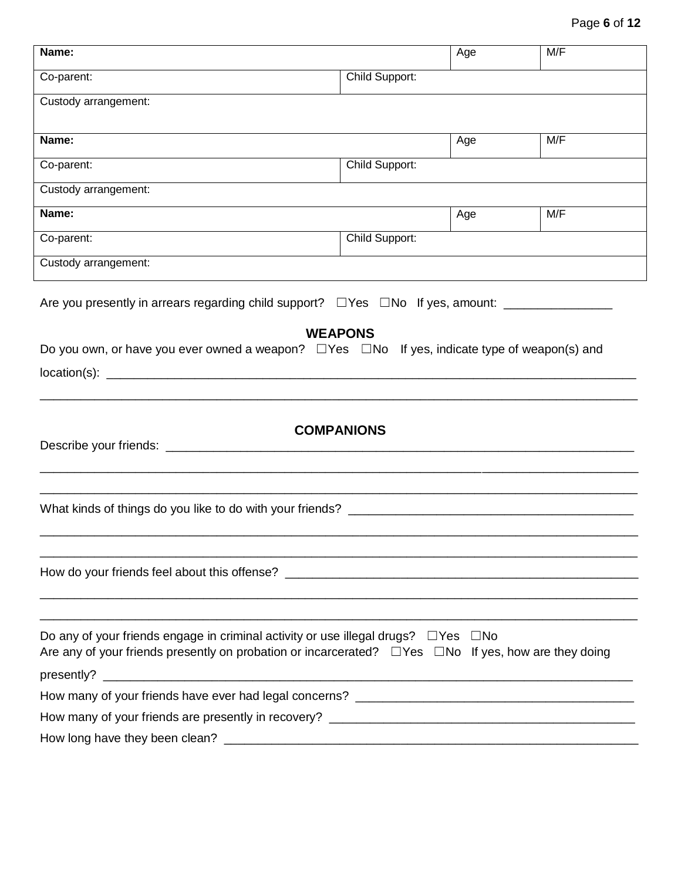| Name:                                                                                                           |                   | Age | M/F |
|-----------------------------------------------------------------------------------------------------------------|-------------------|-----|-----|
| Co-parent:                                                                                                      | Child Support:    |     |     |
| Custody arrangement:                                                                                            |                   |     |     |
|                                                                                                                 |                   |     |     |
| Name:                                                                                                           |                   | Age | M/F |
| Co-parent:                                                                                                      | Child Support:    |     |     |
| Custody arrangement:                                                                                            |                   |     |     |
| Name:                                                                                                           |                   | Age | M/F |
| Co-parent:                                                                                                      | Child Support:    |     |     |
| Custody arrangement:                                                                                            |                   |     |     |
| Are you presently in arrears regarding child support? $\square$ Yes $\square$ No If yes, amount: _____________  |                   |     |     |
|                                                                                                                 | <b>WEAPONS</b>    |     |     |
| Do you own, or have you ever owned a weapon? $\Box$ Yes $\Box$ No If yes, indicate type of weapon(s) and        |                   |     |     |
|                                                                                                                 |                   |     |     |
|                                                                                                                 |                   |     |     |
|                                                                                                                 |                   |     |     |
|                                                                                                                 | <b>COMPANIONS</b> |     |     |
|                                                                                                                 |                   |     |     |
|                                                                                                                 |                   |     |     |
|                                                                                                                 |                   |     |     |
|                                                                                                                 |                   |     |     |
|                                                                                                                 |                   |     |     |
|                                                                                                                 |                   |     |     |
|                                                                                                                 |                   |     |     |
| Do any of your friends engage in criminal activity or use illegal drugs? $\Box$ Yes $\Box$ No                   |                   |     |     |
| Are any of your friends presently on probation or incarcerated? $\Box$ Yes $\Box$ No If yes, how are they doing |                   |     |     |
|                                                                                                                 |                   |     |     |
|                                                                                                                 |                   |     |     |
|                                                                                                                 |                   |     |     |
|                                                                                                                 |                   |     |     |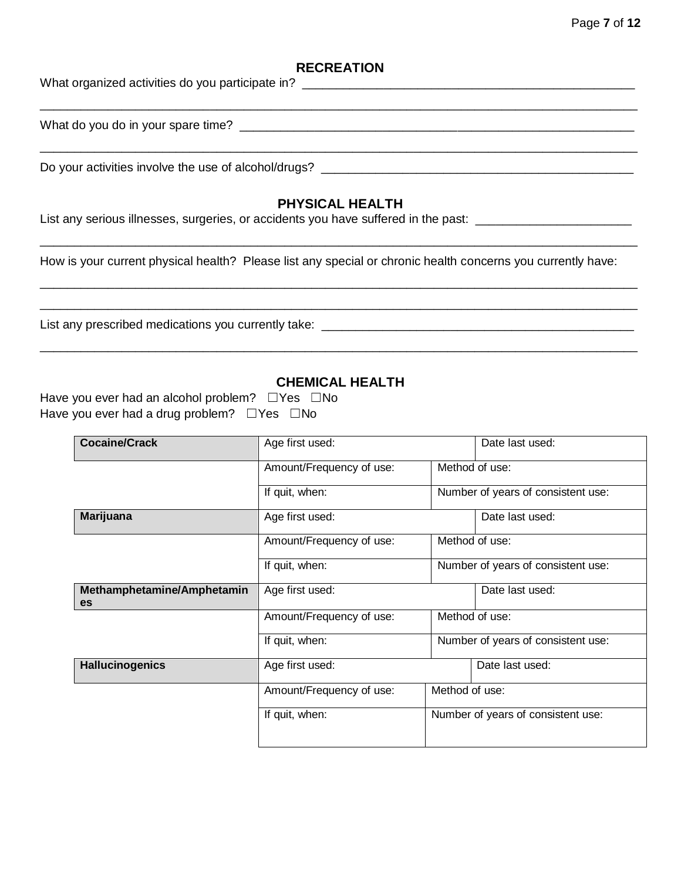### Page **7** of **12**

#### **RECREATION**

| What organized activities do you participate in?                                                             |
|--------------------------------------------------------------------------------------------------------------|
|                                                                                                              |
| Do your activities involve the use of alcohol/drugs?                                                         |
| <b>PHYSICAL HEALTH</b><br>List any serious illnesses, surgeries, or accidents you have suffered in the past: |

How is your current physical health? Please list any special or chronic health concerns you currently have:

\_\_\_\_\_\_\_\_\_\_\_\_\_\_\_\_\_\_\_\_\_\_\_\_\_\_\_\_\_\_\_\_\_\_\_\_\_\_\_\_\_\_\_\_\_\_\_\_\_\_\_\_\_\_\_\_\_\_\_\_\_\_\_\_\_\_\_\_\_\_\_\_\_\_\_\_\_\_\_\_\_\_\_\_\_\_\_\_

\_\_\_\_\_\_\_\_\_\_\_\_\_\_\_\_\_\_\_\_\_\_\_\_\_\_\_\_\_\_\_\_\_\_\_\_\_\_\_\_\_\_\_\_\_\_\_\_\_\_\_\_\_\_\_\_\_\_\_\_\_\_\_\_\_\_\_\_\_\_\_\_\_\_\_\_\_\_\_\_\_\_\_\_\_\_\_\_

List any prescribed medications you currently take: \_\_\_\_\_\_\_\_\_\_\_\_\_\_\_\_\_\_\_\_\_\_\_\_\_\_\_\_\_\_\_\_\_\_\_\_\_\_\_\_\_\_\_\_\_\_

### **CHEMICAL HEALTH**

\_\_\_\_\_\_\_\_\_\_\_\_\_\_\_\_\_\_\_\_\_\_\_\_\_\_\_\_\_\_\_\_\_\_\_\_\_\_\_\_\_\_\_\_\_\_\_\_\_\_\_\_\_\_\_\_\_\_\_\_\_\_\_\_\_\_\_\_\_\_\_\_\_\_\_\_\_\_\_\_\_\_\_\_\_\_\_\_

| Have you ever had an alcohol problem? $\Box$ Yes $\Box$ No |  |
|------------------------------------------------------------|--|
| Have you ever had a drug problem? $\Box$ Yes $\Box$ No     |  |

| <b>Cocaine/Crack</b>             | Age first used:          |                | Date last used:                    |
|----------------------------------|--------------------------|----------------|------------------------------------|
|                                  | Amount/Frequency of use: |                | Method of use:                     |
|                                  | If quit, when:           |                | Number of years of consistent use: |
| <b>Marijuana</b>                 | Age first used:          |                | Date last used:                    |
|                                  | Amount/Frequency of use: |                | Method of use:                     |
|                                  | If quit, when:           |                | Number of years of consistent use: |
| Methamphetamine/Amphetamin<br>es | Age first used:          |                | Date last used:                    |
|                                  | Amount/Frequency of use: |                | Method of use:                     |
|                                  | If quit, when:           |                | Number of years of consistent use: |
| <b>Hallucinogenics</b>           | Age first used:          |                | Date last used:                    |
|                                  | Amount/Frequency of use: | Method of use: |                                    |
|                                  | If quit, when:           |                | Number of years of consistent use: |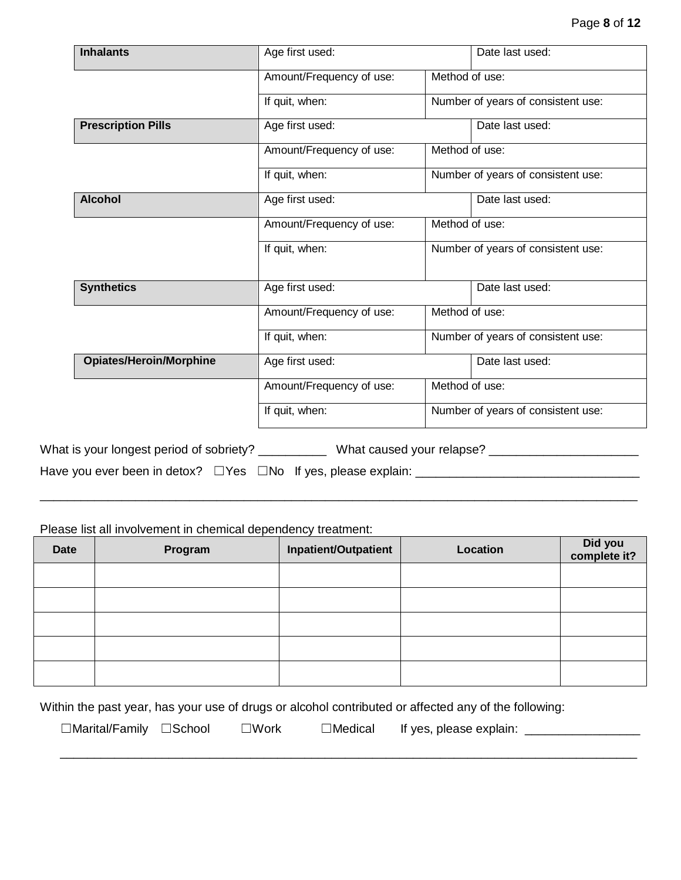| <b>Inhalants</b>                                    | Age first used:          | Date last used:                    |
|-----------------------------------------------------|--------------------------|------------------------------------|
|                                                     | Amount/Frequency of use: | Method of use:                     |
|                                                     | If quit, when:           | Number of years of consistent use: |
| <b>Prescription Pills</b>                           | Age first used:          | Date last used:                    |
|                                                     | Amount/Frequency of use: | Method of use:                     |
|                                                     | If quit, when:           | Number of years of consistent use: |
| <b>Alcohol</b>                                      | Age first used:          | Date last used:                    |
|                                                     | Amount/Frequency of use: | Method of use:                     |
|                                                     | If quit, when:           | Number of years of consistent use: |
| <b>Synthetics</b>                                   | Age first used:          | Date last used:                    |
|                                                     | Amount/Frequency of use: | Method of use:                     |
|                                                     | If quit, when:           | Number of years of consistent use: |
| <b>Opiates/Heroin/Morphine</b>                      | Age first used:          | Date last used:                    |
|                                                     | Amount/Frequency of use: | Method of use:                     |
|                                                     | If quit, when:           | Number of years of consistent use: |
| What is your longest period of sobriety? __________ |                          | What caused your relapse? _        |

Have you ever been in detox? □ Yes □ No If yes, please explain: \_\_\_\_\_\_\_\_\_\_\_\_\_\_\_\_\_\_\_\_\_\_\_\_\_\_\_\_\_\_\_\_\_\_\_

Please list all involvement in chemical dependency treatment:

| <b>Date</b> | Program | Inpatient/Outpatient | Location | Did you<br>complete it? |
|-------------|---------|----------------------|----------|-------------------------|
|             |         |                      |          |                         |
|             |         |                      |          |                         |
|             |         |                      |          |                         |
|             |         |                      |          |                         |
|             |         |                      |          |                         |

\_\_\_\_\_\_\_\_\_\_\_\_\_\_\_\_\_\_\_\_\_\_\_\_\_\_\_\_\_\_\_\_\_\_\_\_\_\_\_\_\_\_\_\_\_\_\_\_\_\_\_\_\_\_\_\_\_\_\_\_\_\_\_\_\_\_\_\_\_\_\_\_\_\_\_\_\_\_\_\_\_\_\_\_\_\_\_\_

Within the past year, has your use of drugs or alcohol contributed or affected any of the following:

\_\_\_\_\_\_\_\_\_\_\_\_\_\_\_\_\_\_\_\_\_\_\_\_\_\_\_\_\_\_\_\_\_\_\_\_\_\_\_\_\_\_\_\_\_\_\_\_\_\_\_\_\_\_\_\_\_\_\_\_\_\_\_\_\_\_\_\_\_\_\_\_\_\_\_\_\_\_\_\_\_\_\_\_\_

☐Marital/Family ☐School ☐Work ☐Medical If yes, please explain: \_\_\_\_\_\_\_\_\_\_\_\_\_\_\_\_\_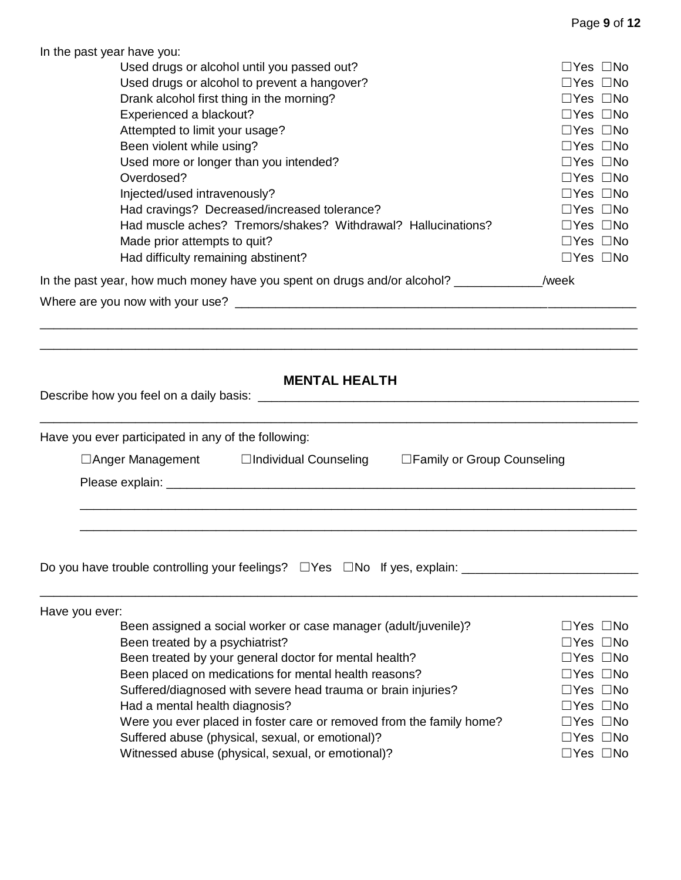| In the past year have you:                                                                   |                                              |  |  |
|----------------------------------------------------------------------------------------------|----------------------------------------------|--|--|
| Used drugs or alcohol until you passed out?<br>$\Box$ Yes $\Box$ No                          |                                              |  |  |
| Used drugs or alcohol to prevent a hangover?                                                 | $\Box$ Yes $\Box$ No                         |  |  |
| Drank alcohol first thing in the morning?                                                    | $\Box$ Yes $\Box$ No                         |  |  |
| Experienced a blackout?                                                                      | $\Box$ Yes $\Box$ No                         |  |  |
| Attempted to limit your usage?                                                               | $\Box$ Yes $\Box$ No                         |  |  |
| Been violent while using?                                                                    | $\Box$ Yes $\Box$ No                         |  |  |
| Used more or longer than you intended?                                                       |                                              |  |  |
| Overdosed?                                                                                   | $\Box$ Yes $\Box$ No<br>$\Box$ Yes $\Box$ No |  |  |
| Injected/used intravenously?                                                                 | $\Box$ Yes $\Box$ No                         |  |  |
| Had cravings? Decreased/increased tolerance?                                                 | $\Box$ Yes $\Box$ No                         |  |  |
|                                                                                              |                                              |  |  |
| Had muscle aches? Tremors/shakes? Withdrawal? Hallucinations?                                | $\Box$ Yes $\Box$ No                         |  |  |
| Made prior attempts to quit?                                                                 | $\Box$ Yes $\Box$ No                         |  |  |
| Had difficulty remaining abstinent?                                                          | $\Box$ Yes $\Box$ No                         |  |  |
| In the past year, how much money have you spent on drugs and/or alcohol? _____________/week  |                                              |  |  |
| Where are you now with your use?                                                             |                                              |  |  |
|                                                                                              |                                              |  |  |
|                                                                                              |                                              |  |  |
|                                                                                              |                                              |  |  |
| <b>MENTAL HEALTH</b>                                                                         |                                              |  |  |
|                                                                                              |                                              |  |  |
|                                                                                              |                                              |  |  |
|                                                                                              |                                              |  |  |
| Have you ever participated in any of the following:                                          |                                              |  |  |
| $\Box$ Anger Management $\Box$ Individual Counseling $\Box$ Family or Group Counseling       |                                              |  |  |
|                                                                                              |                                              |  |  |
|                                                                                              |                                              |  |  |
|                                                                                              |                                              |  |  |
|                                                                                              |                                              |  |  |
|                                                                                              |                                              |  |  |
|                                                                                              |                                              |  |  |
| Do you have trouble controlling your feelings? $\square$ Yes $\square$ No If yes, explain:   |                                              |  |  |
|                                                                                              |                                              |  |  |
| Have you ever:                                                                               |                                              |  |  |
| Been assigned a social worker or case manager (adult/juvenile)?                              | $\Box$ Yes $\Box$ No                         |  |  |
| Been treated by a psychiatrist?                                                              |                                              |  |  |
| Been treated by your general doctor for mental health?<br>$\Box$ Yes $\Box$ No               |                                              |  |  |
| Been placed on medications for mental health reasons?<br>$\Box$ Yes $\Box$ No                |                                              |  |  |
| Suffered/diagnosed with severe head trauma or brain injuries?<br>$\Box$ Yes $\Box$ No        |                                              |  |  |
| Had a mental health diagnosis?<br>$\Box$ Yes $\Box$ No                                       |                                              |  |  |
| Were you ever placed in foster care or removed from the family home?<br>$\Box$ Yes $\Box$ No |                                              |  |  |
| Suffered abuse (physical, sexual, or emotional)?<br>$\Box$ Yes $\Box$ No                     |                                              |  |  |
| Witnessed abuse (physical, sexual, or emotional)?                                            |                                              |  |  |
| $\Box$ Yes $\Box$ No                                                                         |                                              |  |  |

Page **9** of **12**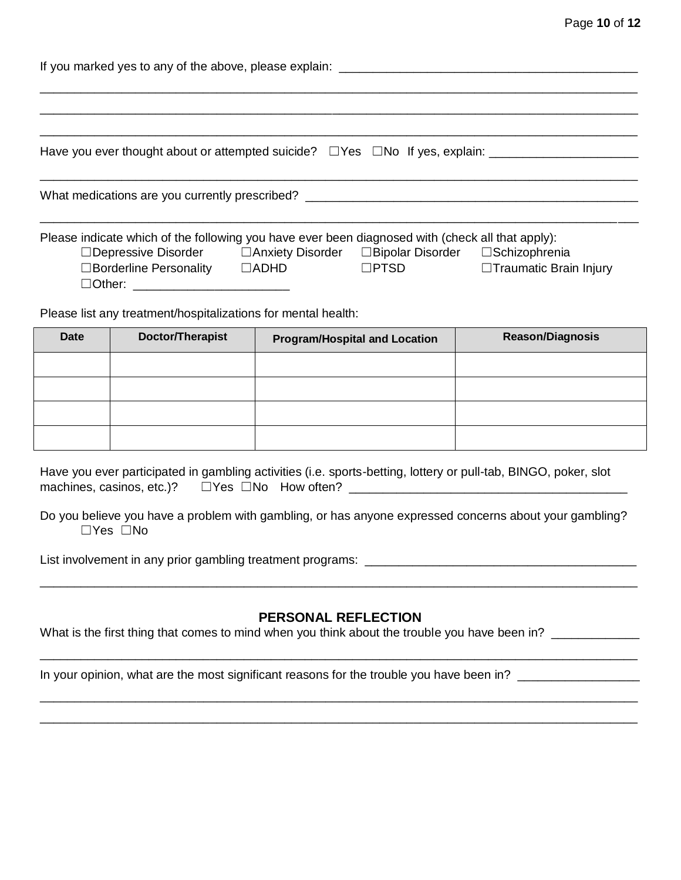| Page 10 of 12 |  |  |  |
|---------------|--|--|--|
|---------------|--|--|--|

| If you marked yes to any of the above, please explain:                                              |             |             |                         |
|-----------------------------------------------------------------------------------------------------|-------------|-------------|-------------------------|
|                                                                                                     |             |             |                         |
|                                                                                                     |             |             |                         |
| Have you ever thought about or attempted suicide? □ Yes □ No If yes, explain: _____________________ |             |             |                         |
| What medications are you currently prescribed? _________________________________                    |             |             |                         |
| Please indicate which of the following you have ever been diagnosed with (check all that apply):    |             |             |                         |
|                                                                                                     |             |             |                         |
| $\Box$ Borderline Personality                                                                       | $\Box$ ADHD | $\Box$ PTSD | □Traumatic Brain Injury |

Please list any treatment/hospitalizations for mental health:

☐Other: \_\_\_\_\_\_\_\_\_\_\_\_\_\_\_\_\_\_\_\_\_\_\_

| <b>Date</b> | Doctor/Therapist | <b>Program/Hospital and Location</b> | <b>Reason/Diagnosis</b> |
|-------------|------------------|--------------------------------------|-------------------------|
|             |                  |                                      |                         |
|             |                  |                                      |                         |
|             |                  |                                      |                         |
|             |                  |                                      |                         |

Have you ever participated in gambling activities (i.e. sports-betting, lottery or pull-tab, BINGO, poker, slot machines, casinos, etc.)? ☐Yes ☐No How often? \_\_\_\_\_\_\_\_\_\_\_\_\_\_\_\_\_\_\_\_\_\_\_\_\_\_\_\_\_\_\_\_\_\_\_\_\_\_\_\_\_

Do you believe you have a problem with gambling, or has anyone expressed concerns about your gambling? ☐Yes ☐No

List involvement in any prior gambling treatment programs: \_\_\_\_\_\_\_\_\_\_\_\_\_\_\_\_\_\_\_\_\_\_\_\_\_\_\_\_\_\_\_\_\_\_\_\_\_\_\_\_

### **PERSONAL REFLECTION**

\_\_\_\_\_\_\_\_\_\_\_\_\_\_\_\_\_\_\_\_\_\_\_\_\_\_\_\_\_\_\_\_\_\_\_\_\_\_\_\_\_\_\_\_\_\_\_\_\_\_\_\_\_\_\_\_\_\_\_\_\_\_\_\_\_\_\_\_\_\_\_\_\_\_\_\_\_\_\_\_\_\_\_\_\_\_\_\_

\_\_\_\_\_\_\_\_\_\_\_\_\_\_\_\_\_\_\_\_\_\_\_\_\_\_\_\_\_\_\_\_\_\_\_\_\_\_\_\_\_\_\_\_\_\_\_\_\_\_\_\_\_\_\_\_\_\_\_\_\_\_\_\_\_\_\_\_\_\_\_\_\_\_\_\_\_\_\_\_\_\_\_\_\_\_\_\_ \_\_\_\_\_\_\_\_\_\_\_\_\_\_\_\_\_\_\_\_\_\_\_\_\_\_\_\_\_\_\_\_\_\_\_\_\_\_\_\_\_\_\_\_\_\_\_\_\_\_\_\_\_\_\_\_\_\_\_\_\_\_\_\_\_\_\_\_\_\_\_\_\_\_\_\_\_\_\_\_\_\_\_\_\_\_\_\_

\_\_\_\_\_\_\_\_\_\_\_\_\_\_\_\_\_\_\_\_\_\_\_\_\_\_\_\_\_\_\_\_\_\_\_\_\_\_\_\_\_\_\_\_\_\_\_\_\_\_\_\_\_\_\_\_\_\_\_\_\_\_\_\_\_\_\_\_\_\_\_\_\_\_\_\_\_\_\_\_\_\_\_\_\_\_\_\_

What is the first thing that comes to mind when you think about the trouble you have been in?

In your opinion, what are the most significant reasons for the trouble you have been in? \_\_\_\_\_\_\_\_\_\_\_\_\_\_\_\_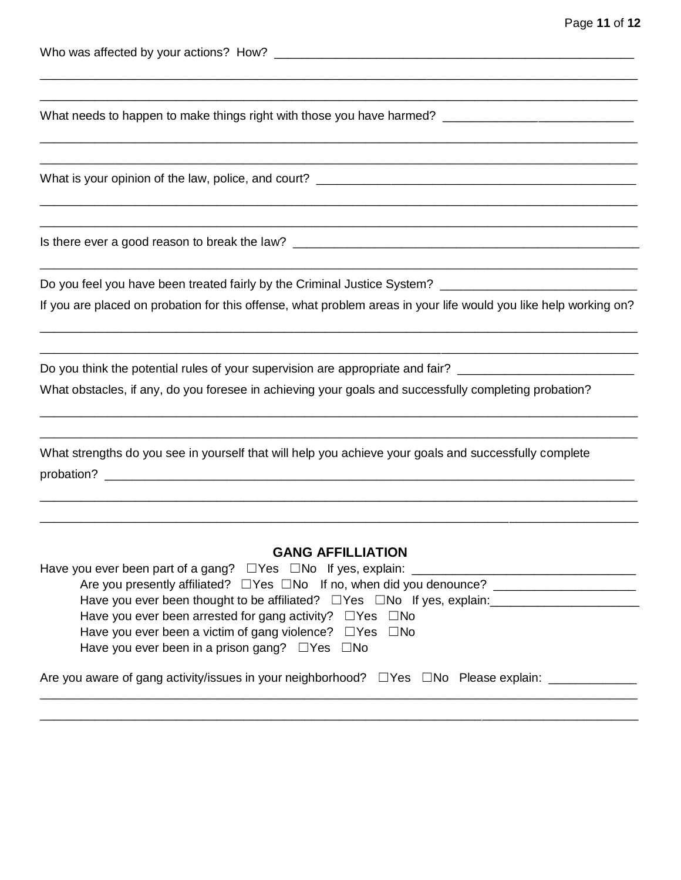| What needs to happen to make things right with those you have harmed? ______________________________                                                                                                                                                                                                                                                                             |
|----------------------------------------------------------------------------------------------------------------------------------------------------------------------------------------------------------------------------------------------------------------------------------------------------------------------------------------------------------------------------------|
|                                                                                                                                                                                                                                                                                                                                                                                  |
|                                                                                                                                                                                                                                                                                                                                                                                  |
| If you are placed on probation for this offense, what problem areas in your life would you like help working on?                                                                                                                                                                                                                                                                 |
| Do you think the potential rules of your supervision are appropriate and fair? ___________________________<br>What obstacles, if any, do you foresee in achieving your goals and successfully completing probation?                                                                                                                                                              |
| What strengths do you see in yourself that will help you achieve your goals and successfully complete                                                                                                                                                                                                                                                                            |
| <b>GANG AFFILLIATION</b><br>Are you presently affiliated? □ Yes □ No If no, when did you denounce? ____________________________<br>Have you ever been thought to be affiliated? □ Yes □ No If yes, explain:<br>————————————————————<br>Have you ever been arrested for gang activity? $\Box$ Yes $\Box$ No<br>Have you ever been a victim of gang violence? $\Box$ Yes $\Box$ No |

Have you ever been in a prison gang? □Yes □No

| Are you aware of gang activity/issues in your neighborhood? $\square$ Yes $\square$ No Please explain: |  |  |  |
|--------------------------------------------------------------------------------------------------------|--|--|--|
|--------------------------------------------------------------------------------------------------------|--|--|--|

\_\_\_\_\_\_\_\_\_\_\_\_\_\_\_\_\_\_\_\_\_\_\_\_\_\_\_\_\_\_\_\_\_\_\_\_\_\_\_\_\_\_\_\_\_\_\_\_\_\_\_\_\_\_\_\_\_\_\_\_\_\_\_\_\_\_\_\_\_\_\_\_\_\_\_\_\_\_\_\_\_\_\_\_\_\_\_\_

\_\_\_\_\_\_\_\_\_\_\_\_\_\_\_\_\_\_\_\_\_\_\_\_\_\_\_\_\_\_\_\_\_\_\_\_\_\_\_\_\_\_\_\_\_\_\_\_\_\_\_\_\_\_\_\_\_\_\_\_\_\_\_\_\_\_\_\_\_\_\_\_\_\_\_\_\_\_\_\_\_\_\_\_\_\_\_\_